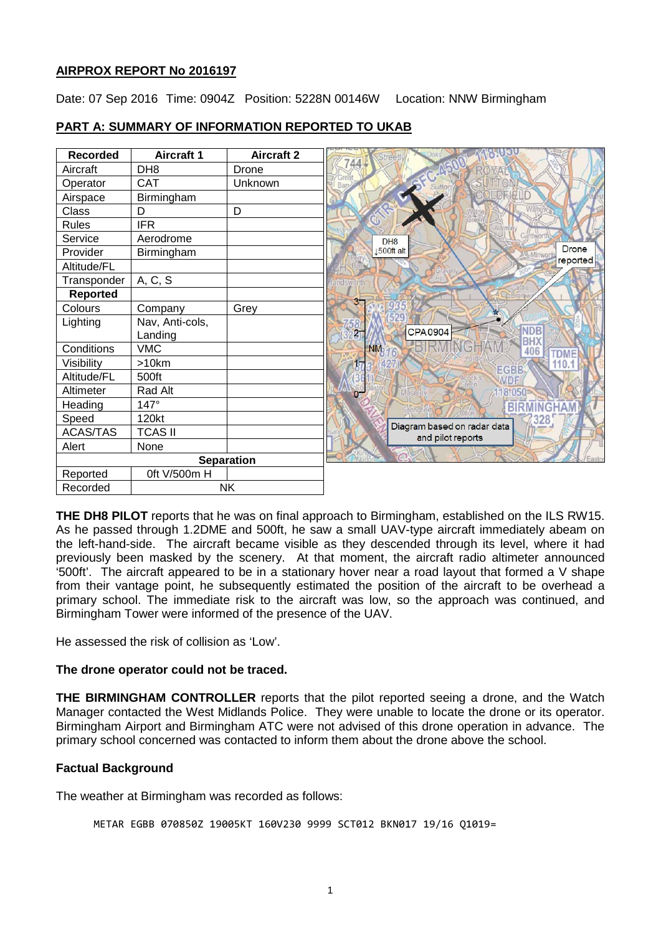# **AIRPROX REPORT No 2016197**

Date: 07 Sep 2016 Time: 0904Z Position: 5228N 00146W Location: NNW Birmingham

| <b>Recorded</b>   | <b>Aircraft 1</b> | <b>Aircraft 2</b> |
|-------------------|-------------------|-------------------|
| Aircraft          | DH <sub>8</sub>   | Drone             |
| Operator          | <b>CAT</b>        | Unknown           |
| Airspace          | Birmingham        |                   |
| Class             | D                 | D                 |
| <b>Rules</b>      | <b>IFR</b>        |                   |
| Service           | Aerodrome         |                   |
| Provider          | Birmingham        |                   |
| Altitude/FL       |                   |                   |
| Transponder       | A, C, S           |                   |
| <b>Reported</b>   |                   |                   |
| Colours           | Company           | Grey              |
| Lighting          | Nav, Anti-cols,   |                   |
|                   | Landing           |                   |
| Conditions        | <b>VMC</b>        |                   |
| Visibility        | >10km             |                   |
| Altitude/FL       | 500ft             |                   |
| Altimeter         | Rad Alt           |                   |
| Heading           | 147°              |                   |
| Speed             | 120kt             |                   |
| <b>ACAS/TAS</b>   | <b>TCAS II</b>    |                   |
| Alert             | None              |                   |
| <b>Separation</b> |                   |                   |
| Reported          | 0ft V/500m H      |                   |
| Recorded          |                   | <b>NK</b>         |

# **PART A: SUMMARY OF INFORMATION REPORTED TO UKAB**

**THE DH8 PILOT** reports that he was on final approach to Birmingham, established on the ILS RW15. As he passed through 1.2DME and 500ft, he saw a small UAV-type aircraft immediately abeam on the left-hand-side. The aircraft became visible as they descended through its level, where it had previously been masked by the scenery. At that moment, the aircraft radio altimeter announced '500ft'. The aircraft appeared to be in a stationary hover near a road layout that formed a V shape from their vantage point, he subsequently estimated the position of the aircraft to be overhead a primary school. The immediate risk to the aircraft was low, so the approach was continued, and Birmingham Tower were informed of the presence of the UAV.

He assessed the risk of collision as 'Low'.

# **The drone operator could not be traced.**

**THE BIRMINGHAM CONTROLLER** reports that the pilot reported seeing a drone, and the Watch Manager contacted the West Midlands Police. They were unable to locate the drone or its operator. Birmingham Airport and Birmingham ATC were not advised of this drone operation in advance. The primary school concerned was contacted to inform them about the drone above the school.

# **Factual Background**

The weather at Birmingham was recorded as follows:

```
METAR EGBB 070850Z 19005KT 160V230 9999 SCT012 BKN017 19/16 Q1019=
```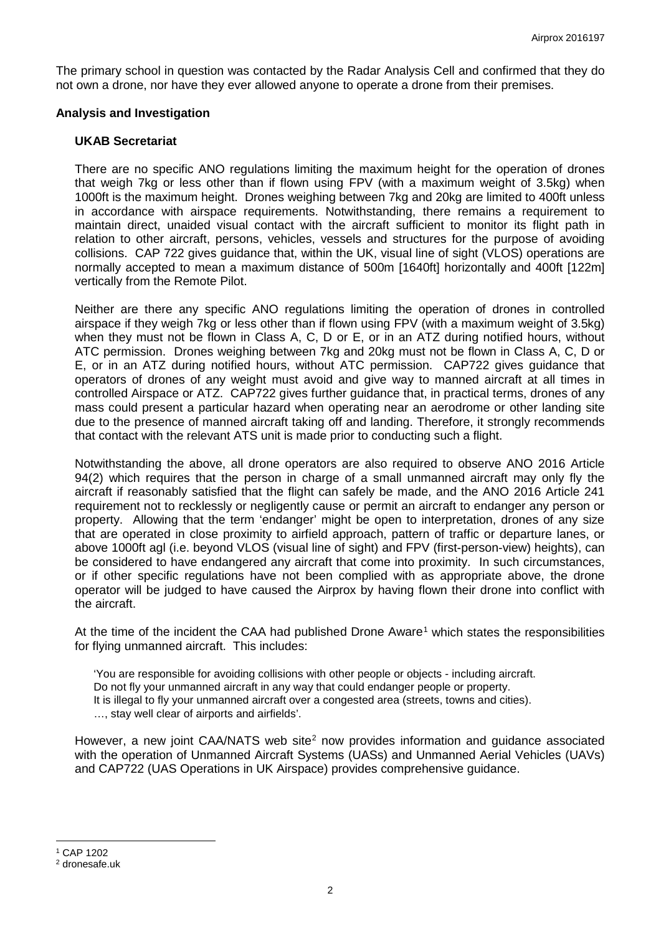The primary school in question was contacted by the Radar Analysis Cell and confirmed that they do not own a drone, nor have they ever allowed anyone to operate a drone from their premises.

### **Analysis and Investigation**

#### **UKAB Secretariat**

There are no specific ANO regulations limiting the maximum height for the operation of drones that weigh 7kg or less other than if flown using FPV (with a maximum weight of 3.5kg) when 1000ft is the maximum height. Drones weighing between 7kg and 20kg are limited to 400ft unless in accordance with airspace requirements. Notwithstanding, there remains a requirement to maintain direct, unaided visual contact with the aircraft sufficient to monitor its flight path in relation to other aircraft, persons, vehicles, vessels and structures for the purpose of avoiding collisions. CAP 722 gives guidance that, within the UK, visual line of sight (VLOS) operations are normally accepted to mean a maximum distance of 500m [1640ft] horizontally and 400ft [122m] vertically from the Remote Pilot.

Neither are there any specific ANO regulations limiting the operation of drones in controlled airspace if they weigh 7kg or less other than if flown using FPV (with a maximum weight of 3.5kg) when they must not be flown in Class A, C, D or E, or in an ATZ during notified hours, without ATC permission. Drones weighing between 7kg and 20kg must not be flown in Class A, C, D or E, or in an ATZ during notified hours, without ATC permission. CAP722 gives guidance that operators of drones of any weight must avoid and give way to manned aircraft at all times in controlled Airspace or ATZ. CAP722 gives further guidance that, in practical terms, drones of any mass could present a particular hazard when operating near an aerodrome or other landing site due to the presence of manned aircraft taking off and landing. Therefore, it strongly recommends that contact with the relevant ATS unit is made prior to conducting such a flight.

Notwithstanding the above, all drone operators are also required to observe ANO 2016 Article 94(2) which requires that the person in charge of a small unmanned aircraft may only fly the aircraft if reasonably satisfied that the flight can safely be made, and the ANO 2016 Article 241 requirement not to recklessly or negligently cause or permit an aircraft to endanger any person or property. Allowing that the term 'endanger' might be open to interpretation, drones of any size that are operated in close proximity to airfield approach, pattern of traffic or departure lanes, or above 1000ft agl (i.e. beyond VLOS (visual line of sight) and FPV (first-person-view) heights), can be considered to have endangered any aircraft that come into proximity. In such circumstances, or if other specific regulations have not been complied with as appropriate above, the drone operator will be judged to have caused the Airprox by having flown their drone into conflict with the aircraft.

At the time of the incident the CAA had published Drone Aware<sup>[1](#page-1-0)</sup> which states the responsibilities for flying unmanned aircraft. This includes:

'You are responsible for avoiding collisions with other people or objects - including aircraft. Do not fly your unmanned aircraft in any way that could endanger people or property. It is illegal to fly your unmanned aircraft over a congested area (streets, towns and cities). …, stay well clear of airports and airfields'.

However, a new joint CAA/NATS web site<sup>[2](#page-1-1)</sup> now provides information and guidance associated with the operation of Unmanned Aircraft Systems (UASs) and Unmanned Aerial Vehicles (UAVs) and CAP722 (UAS Operations in UK Airspace) provides comprehensive guidance.

<span id="page-1-0"></span><sup>1</sup> CAP 1202

l

<span id="page-1-1"></span><sup>2</sup> dronesafe.uk